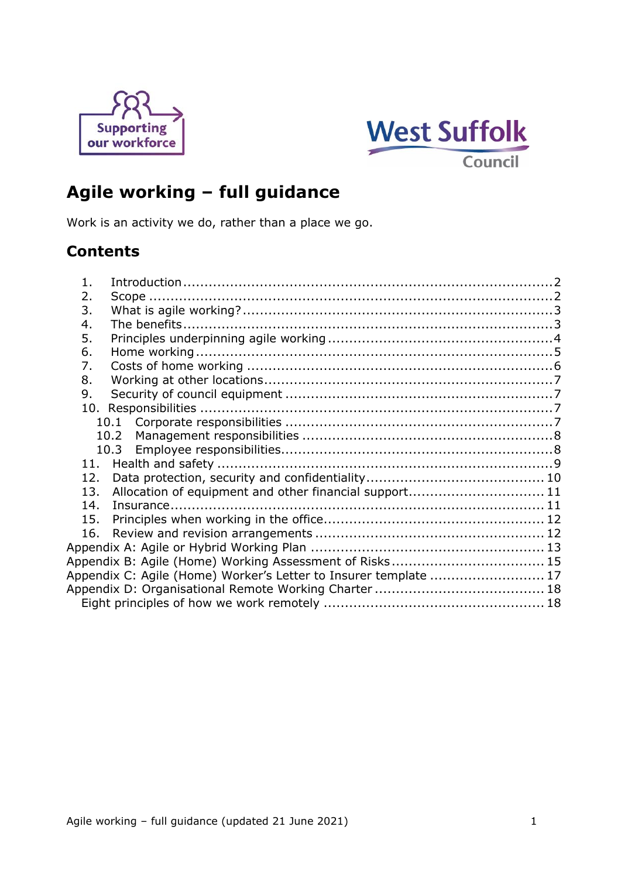



# **Agile working – full guidance**

Work is an activity we do, rather than a place we go.

# **Contents**

| $\mathbf{1}$                                                     |  |
|------------------------------------------------------------------|--|
| 2.                                                               |  |
| 3.                                                               |  |
| 4.                                                               |  |
| 5.                                                               |  |
| 6.                                                               |  |
| 7.                                                               |  |
| 8.                                                               |  |
| 9.                                                               |  |
|                                                                  |  |
|                                                                  |  |
| 10.2                                                             |  |
|                                                                  |  |
|                                                                  |  |
| 12.                                                              |  |
| Allocation of equipment and other financial support 11<br>13.    |  |
| 14.                                                              |  |
| 15.                                                              |  |
| 16.                                                              |  |
|                                                                  |  |
|                                                                  |  |
| Appendix C: Agile (Home) Worker's Letter to Insurer template  17 |  |
|                                                                  |  |
|                                                                  |  |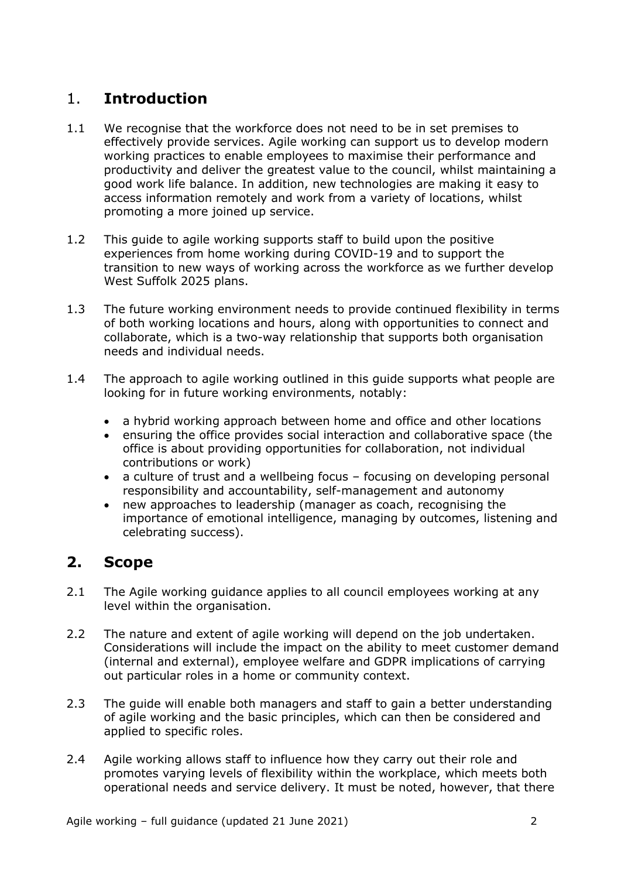# <span id="page-1-0"></span>1. **Introduction**

- 1.1 We recognise that the workforce does not need to be in set premises to effectively provide services. Agile working can support us to develop modern working practices to enable employees to maximise their performance and productivity and deliver the greatest value to the council, whilst maintaining a good work life balance. In addition, new technologies are making it easy to access information remotely and work from a variety of locations, whilst promoting a more joined up service.
- 1.2 This guide to agile working supports staff to build upon the positive experiences from home working during COVID-19 and to support the transition to new ways of working across the workforce as we further develop West Suffolk 2025 plans.
- 1.3 The future working environment needs to provide continued flexibility in terms of both working locations and hours, along with opportunities to connect and collaborate, which is a two-way relationship that supports both organisation needs and individual needs.
- 1.4 The approach to agile working outlined in this guide supports what people are looking for in future working environments, notably:
	- a hybrid working approach between home and office and other locations
	- ensuring the office provides social interaction and collaborative space (the office is about providing opportunities for collaboration, not individual contributions or work)
	- a culture of trust and a wellbeing focus focusing on developing personal responsibility and accountability, self-management and autonomy
	- new approaches to leadership (manager as coach, recognising the importance of emotional intelligence, managing by outcomes, listening and celebrating success).

# <span id="page-1-1"></span>**2. Scope**

- 2.1 The Agile working guidance applies to all council employees working at any level within the organisation.
- 2.2 The nature and extent of agile working will depend on the job undertaken. Considerations will include the impact on the ability to meet customer demand (internal and external), employee welfare and GDPR implications of carrying out particular roles in a home or community context.
- 2.3 The guide will enable both managers and staff to gain a better understanding of agile working and the basic principles, which can then be considered and applied to specific roles.
- 2.4 Agile working allows staff to influence how they carry out their role and promotes varying levels of flexibility within the workplace, which meets both operational needs and service delivery. It must be noted, however, that there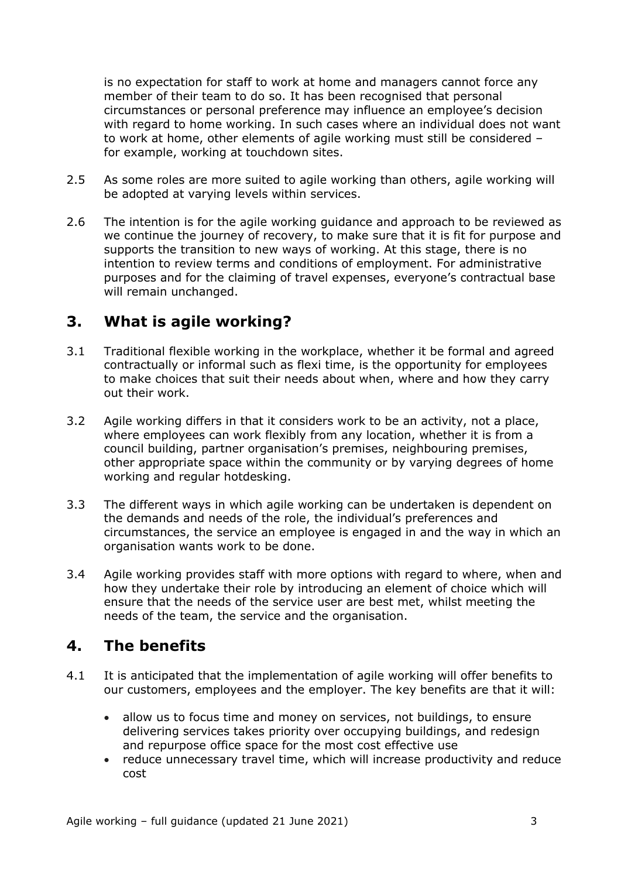is no expectation for staff to work at home and managers cannot force any member of their team to do so. It has been recognised that personal circumstances or personal preference may influence an employee's decision with regard to home working. In such cases where an individual does not want to work at home, other elements of agile working must still be considered – for example, working at touchdown sites.

- 2.5 As some roles are more suited to agile working than others, agile working will be adopted at varying levels within services.
- 2.6 The intention is for the agile working guidance and approach to be reviewed as we continue the journey of recovery, to make sure that it is fit for purpose and supports the transition to new ways of working. At this stage, there is no intention to review terms and conditions of employment. For administrative purposes and for the claiming of travel expenses, everyone's contractual base will remain unchanged.

## <span id="page-2-0"></span>**3. What is agile working?**

- 3.1 Traditional flexible working in the workplace, whether it be formal and agreed contractually or informal such as flexi time, is the opportunity for employees to make choices that suit their needs about when, where and how they carry out their work.
- 3.2 Agile working differs in that it considers work to be an activity, not a place, where employees can work flexibly from any location, whether it is from a council building, partner organisation's premises, neighbouring premises, other appropriate space within the community or by varying degrees of home working and regular hotdesking.
- 3.3 The different ways in which agile working can be undertaken is dependent on the demands and needs of the role, the individual's preferences and circumstances, the service an employee is engaged in and the way in which an organisation wants work to be done.
- 3.4 Agile working provides staff with more options with regard to where, when and how they undertake their role by introducing an element of choice which will ensure that the needs of the service user are best met, whilst meeting the needs of the team, the service and the organisation.

# <span id="page-2-1"></span>**4. The benefits**

- 4.1 It is anticipated that the implementation of agile working will offer benefits to our customers, employees and the employer. The key benefits are that it will:
	- allow us to focus time and money on services, not buildings, to ensure delivering services takes priority over occupying buildings, and redesign and repurpose office space for the most cost effective use
	- reduce unnecessary travel time, which will increase productivity and reduce cost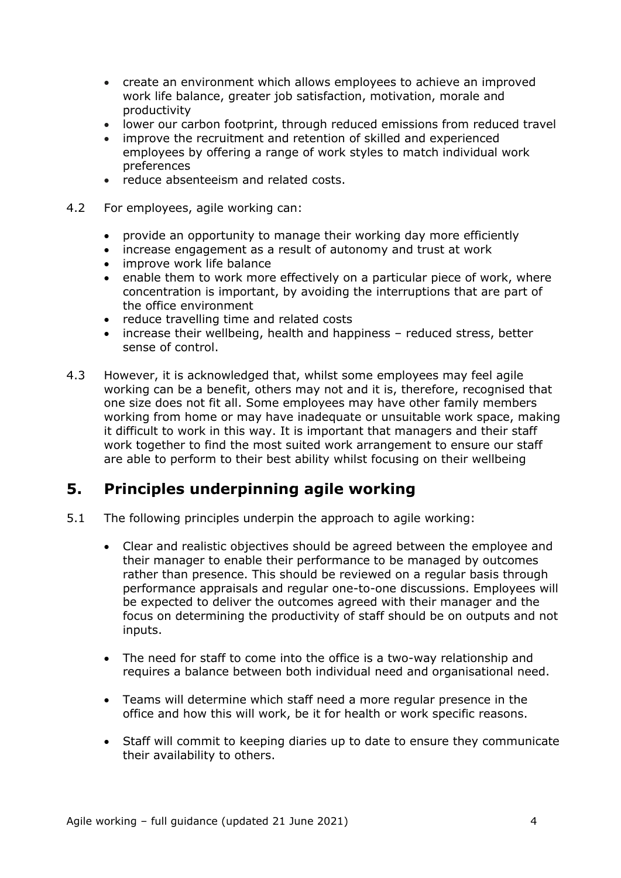- create an environment which allows employees to achieve an improved work life balance, greater job satisfaction, motivation, morale and productivity
- lower our carbon footprint, through reduced emissions from reduced travel
- improve the recruitment and retention of skilled and experienced employees by offering a range of work styles to match individual work preferences
- reduce absenteeism and related costs.
- 4.2 For employees, agile working can:
	- provide an opportunity to manage their working day more efficiently
	- increase engagement as a result of autonomy and trust at work
	- improve work life balance
	- enable them to work more effectively on a particular piece of work, where concentration is important, by avoiding the interruptions that are part of the office environment
	- reduce travelling time and related costs
	- increase their wellbeing, health and happiness reduced stress, better sense of control.
- 4.3 However, it is acknowledged that, whilst some employees may feel agile working can be a benefit, others may not and it is, therefore, recognised that one size does not fit all. Some employees may have other family members working from home or may have inadequate or unsuitable work space, making it difficult to work in this way. It is important that managers and their staff work together to find the most suited work arrangement to ensure our staff are able to perform to their best ability whilst focusing on their wellbeing

# <span id="page-3-0"></span>**5. Principles underpinning agile working**

- 5.1 The following principles underpin the approach to agile working:
	- Clear and realistic objectives should be agreed between the employee and their manager to enable their performance to be managed by outcomes rather than presence. This should be reviewed on a regular basis through performance appraisals and regular one-to-one discussions. Employees will be expected to deliver the outcomes agreed with their manager and the focus on determining the productivity of staff should be on outputs and not inputs.
	- The need for staff to come into the office is a two-way relationship and requires a balance between both individual need and organisational need.
	- Teams will determine which staff need a more regular presence in the office and how this will work, be it for health or work specific reasons.
	- Staff will commit to keeping diaries up to date to ensure they communicate their availability to others.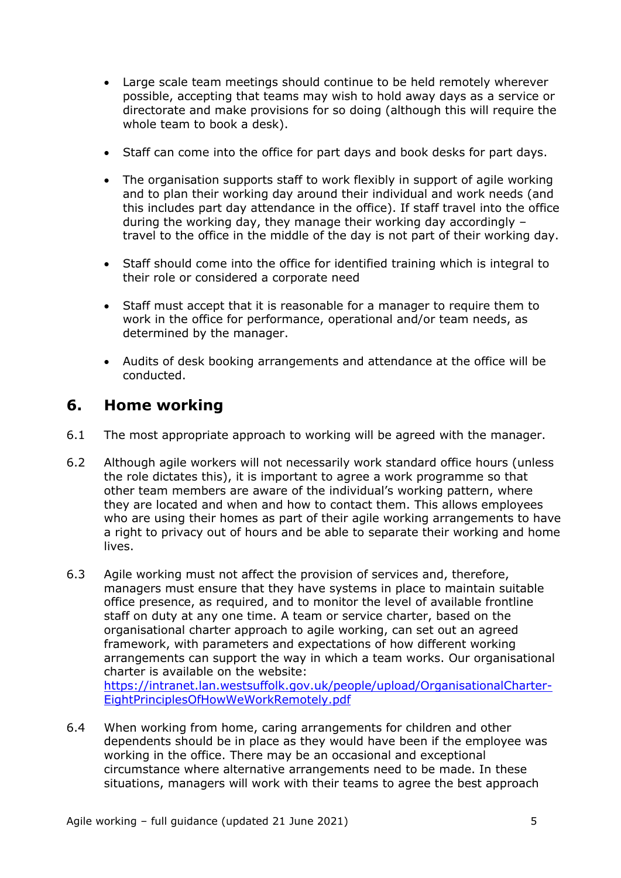- Large scale team meetings should continue to be held remotely wherever possible, accepting that teams may wish to hold away days as a service or directorate and make provisions for so doing (although this will require the whole team to book a desk).
- Staff can come into the office for part days and book desks for part days.
- The organisation supports staff to work flexibly in support of agile working and to plan their working day around their individual and work needs (and this includes part day attendance in the office). If staff travel into the office during the working day, they manage their working day accordingly – travel to the office in the middle of the day is not part of their working day.
- Staff should come into the office for identified training which is integral to their role or considered a corporate need
- Staff must accept that it is reasonable for a manager to require them to work in the office for performance, operational and/or team needs, as determined by the manager.
- Audits of desk booking arrangements and attendance at the office will be conducted.

## <span id="page-4-0"></span>**6. Home working**

- 6.1 The most appropriate approach to working will be agreed with the manager.
- 6.2 Although agile workers will not necessarily work standard office hours (unless the role dictates this), it is important to agree a work programme so that other team members are aware of the individual's working pattern, where they are located and when and how to contact them. This allows employees who are using their homes as part of their agile working arrangements to have a right to privacy out of hours and be able to separate their working and home lives.
- 6.3 Agile working must not affect the provision of services and, therefore, managers must ensure that they have systems in place to maintain suitable office presence, as required, and to monitor the level of available frontline staff on duty at any one time. A team or service charter, based on the organisational charter approach to agile working, can set out an agreed framework, with parameters and expectations of how different working arrangements can support the way in which a team works. Our organisational charter is available on the website: [https://intranet.lan.westsuffolk.gov.uk/people/upload/OrganisationalCharter-](https://intranet.lan.westsuffolk.gov.uk/people/upload/OrganisationalCharter-EightPrinciplesOfHowWeWorkRemotely.pdf)
	- [EightPrinciplesOfHowWeWorkRemotely.pdf](https://intranet.lan.westsuffolk.gov.uk/people/upload/OrganisationalCharter-EightPrinciplesOfHowWeWorkRemotely.pdf)
- 6.4 When working from home, caring arrangements for children and other dependents should be in place as they would have been if the employee was working in the office. There may be an occasional and exceptional circumstance where alternative arrangements need to be made. In these situations, managers will work with their teams to agree the best approach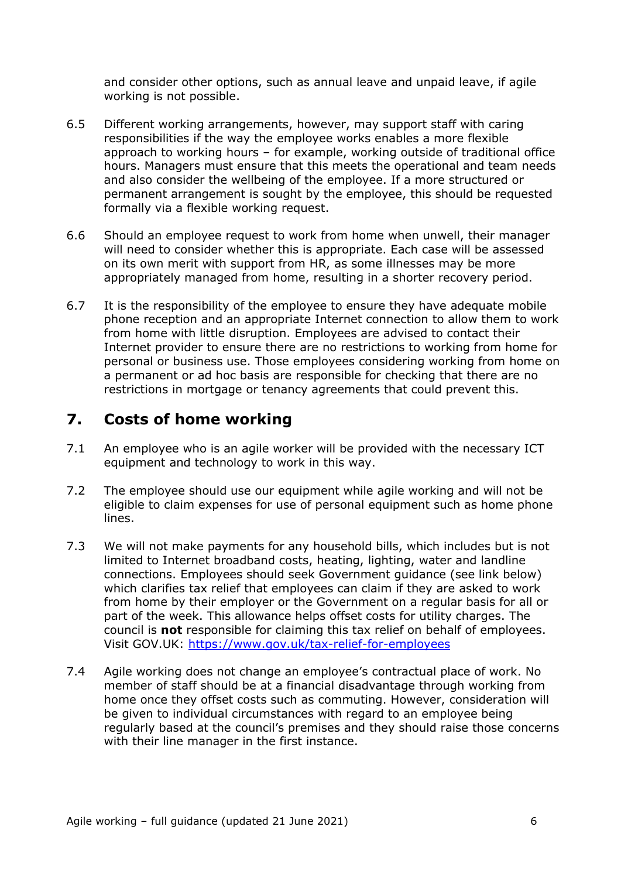and consider other options, such as annual leave and unpaid leave, if agile working is not possible.

- 6.5 Different working arrangements, however, may support staff with caring responsibilities if the way the employee works enables a more flexible approach to working hours – for example, working outside of traditional office hours. Managers must ensure that this meets the operational and team needs and also consider the wellbeing of the employee. If a more structured or permanent arrangement is sought by the employee, this should be requested formally via a flexible working request.
- 6.6 Should an employee request to work from home when unwell, their manager will need to consider whether this is appropriate. Each case will be assessed on its own merit with support from HR, as some illnesses may be more appropriately managed from home, resulting in a shorter recovery period.
- 6.7 It is the responsibility of the employee to ensure they have adequate mobile phone reception and an appropriate Internet connection to allow them to work from home with little disruption. Employees are advised to contact their Internet provider to ensure there are no restrictions to working from home for personal or business use. Those employees considering working from home on a permanent or ad hoc basis are responsible for checking that there are no restrictions in mortgage or tenancy agreements that could prevent this.

## <span id="page-5-0"></span>**7. Costs of home working**

- 7.1 An employee who is an agile worker will be provided with the necessary ICT equipment and technology to work in this way.
- 7.2 The employee should use our equipment while agile working and will not be eligible to claim expenses for use of personal equipment such as home phone lines.
- 7.3 We will not make payments for any household bills, which includes but is not limited to Internet broadband costs, heating, lighting, water and landline connections. Employees should seek Government guidance (see link below) which clarifies tax relief that employees can claim if they are asked to work from home by their employer or the Government on a regular basis for all or part of the week. This allowance helps offset costs for utility charges. The council is **not** responsible for claiming this tax relief on behalf of employees. Visit GOV.UK:<https://www.gov.uk/tax-relief-for-employees>
- 7.4 Agile working does not change an employee's contractual place of work. No member of staff should be at a financial disadvantage through working from home once they offset costs such as commuting. However, consideration will be given to individual circumstances with regard to an employee being regularly based at the council's premises and they should raise those concerns with their line manager in the first instance.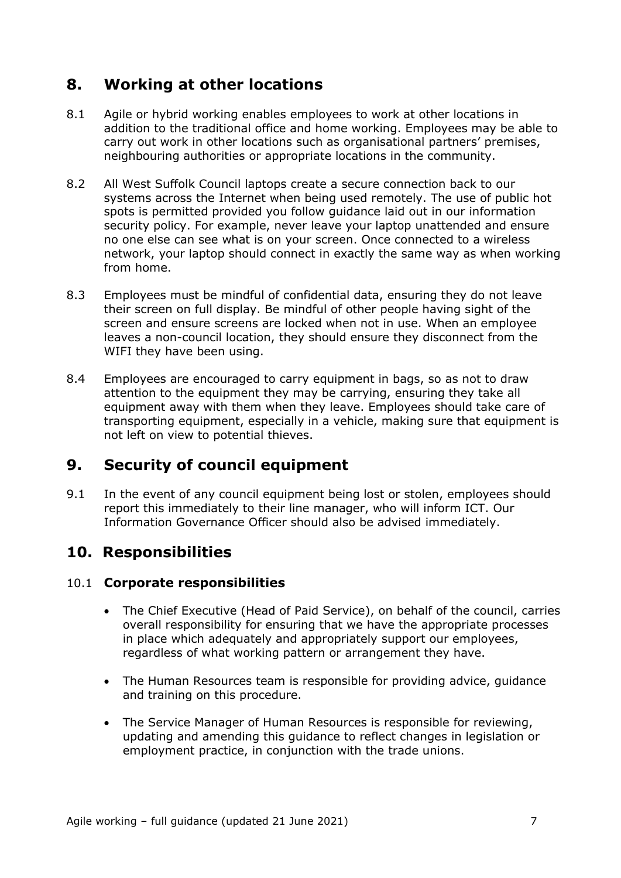# <span id="page-6-0"></span>**8. Working at other locations**

- 8.1 Agile or hybrid working enables employees to work at other locations in addition to the traditional office and home working. Employees may be able to carry out work in other locations such as organisational partners' premises, neighbouring authorities or appropriate locations in the community.
- 8.2 All West Suffolk Council laptops create a secure connection back to our systems across the Internet when being used remotely. The use of public hot spots is permitted provided you follow guidance laid out in our information security policy. For example, never leave your laptop unattended and ensure no one else can see what is on your screen. Once connected to a wireless network, your laptop should connect in exactly the same way as when working from home.
- 8.3 Employees must be mindful of confidential data, ensuring they do not leave their screen on full display. Be mindful of other people having sight of the screen and ensure screens are locked when not in use. When an employee leaves a non-council location, they should ensure they disconnect from the WIFI they have been using.
- 8.4 Employees are encouraged to carry equipment in bags, so as not to draw attention to the equipment they may be carrying, ensuring they take all equipment away with them when they leave. Employees should take care of transporting equipment, especially in a vehicle, making sure that equipment is not left on view to potential thieves.

# <span id="page-6-1"></span>**9. Security of council equipment**

9.1 In the event of any council equipment being lost or stolen, employees should report this immediately to their line manager, who will inform ICT. Our Information Governance Officer should also be advised immediately.

# <span id="page-6-2"></span>**10. Responsibilities**

### <span id="page-6-3"></span>10.1 **Corporate responsibilities**

- The Chief Executive (Head of Paid Service), on behalf of the council, carries overall responsibility for ensuring that we have the appropriate processes in place which adequately and appropriately support our employees, regardless of what working pattern or arrangement they have.
- The Human Resources team is responsible for providing advice, guidance and training on this procedure.
- The Service Manager of Human Resources is responsible for reviewing, updating and amending this guidance to reflect changes in legislation or employment practice, in conjunction with the trade unions.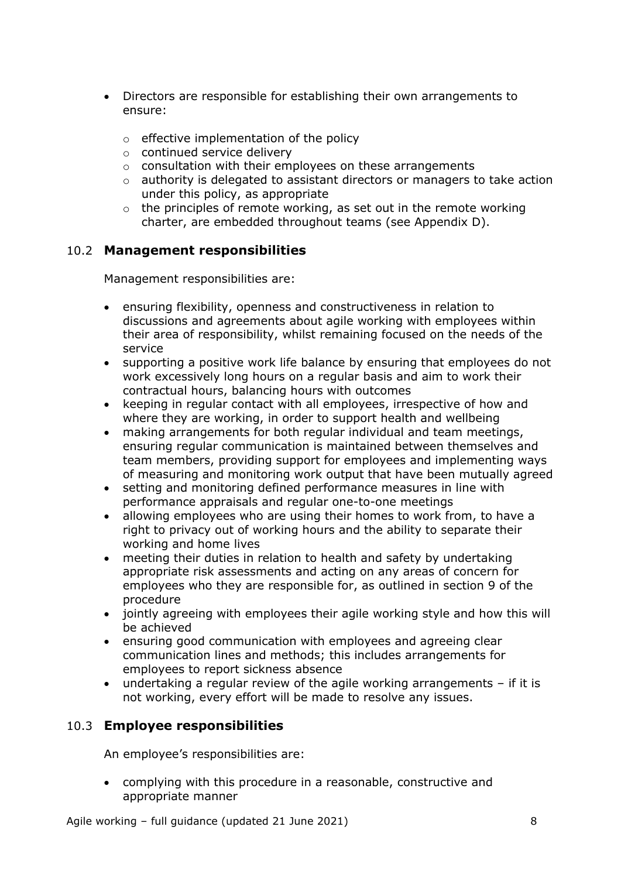- Directors are responsible for establishing their own arrangements to ensure:
	- o effective implementation of the policy
	- o continued service delivery
	- o consultation with their employees on these arrangements
	- o authority is delegated to assistant directors or managers to take action under this policy, as appropriate
	- $\circ$  the principles of remote working, as set out in the remote working charter, are embedded throughout teams (see Appendix D).

## <span id="page-7-0"></span>10.2 **Management responsibilities**

Management responsibilities are:

- ensuring flexibility, openness and constructiveness in relation to discussions and agreements about agile working with employees within their area of responsibility, whilst remaining focused on the needs of the service
- supporting a positive work life balance by ensuring that employees do not work excessively long hours on a regular basis and aim to work their contractual hours, balancing hours with outcomes
- keeping in regular contact with all employees, irrespective of how and where they are working, in order to support health and wellbeing
- making arrangements for both regular individual and team meetings, ensuring regular communication is maintained between themselves and team members, providing support for employees and implementing ways of measuring and monitoring work output that have been mutually agreed
- setting and monitoring defined performance measures in line with performance appraisals and regular one-to-one meetings
- allowing employees who are using their homes to work from, to have a right to privacy out of working hours and the ability to separate their working and home lives
- meeting their duties in relation to health and safety by undertaking appropriate risk assessments and acting on any areas of concern for employees who they are responsible for, as outlined in section 9 of the procedure
- jointly agreeing with employees their agile working style and how this will be achieved
- ensuring good communication with employees and agreeing clear communication lines and methods; this includes arrangements for employees to report sickness absence
- undertaking a regular review of the agile working arrangements if it is not working, every effort will be made to resolve any issues.

### <span id="page-7-1"></span>10.3 **Employee responsibilities**

An employee's responsibilities are:

• complying with this procedure in a reasonable, constructive and appropriate manner

Agile working – full guidance (updated 21 June 2021) 38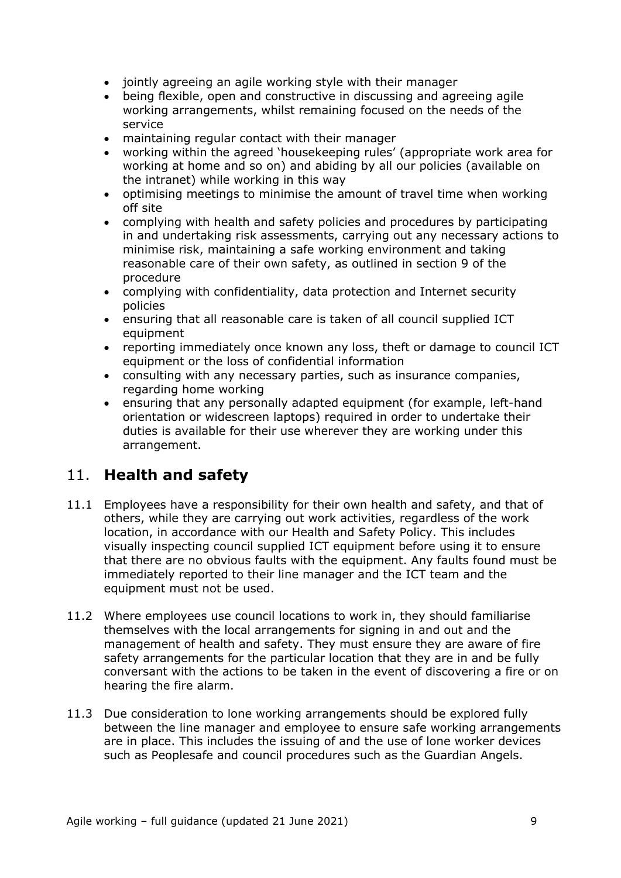- jointly agreeing an agile working style with their manager
- being flexible, open and constructive in discussing and agreeing agile working arrangements, whilst remaining focused on the needs of the service
- maintaining regular contact with their manager
- working within the agreed 'housekeeping rules' (appropriate work area for working at home and so on) and abiding by all our policies (available on the intranet) while working in this way
- optimising meetings to minimise the amount of travel time when working off site
- complying with health and safety policies and procedures by participating in and undertaking risk assessments, carrying out any necessary actions to minimise risk, maintaining a safe working environment and taking reasonable care of their own safety, as outlined in section 9 of the procedure
- complying with confidentiality, data protection and Internet security policies
- ensuring that all reasonable care is taken of all council supplied ICT equipment
- reporting immediately once known any loss, theft or damage to council ICT equipment or the loss of confidential information
- consulting with any necessary parties, such as insurance companies, regarding home working
- ensuring that any personally adapted equipment (for example, left-hand orientation or widescreen laptops) required in order to undertake their duties is available for their use wherever they are working under this arrangement.

# <span id="page-8-0"></span>11. **Health and safety**

- 11.1 Employees have a responsibility for their own health and safety, and that of others, while they are carrying out work activities, regardless of the work location, in accordance with our Health and Safety Policy. This includes visually inspecting council supplied ICT equipment before using it to ensure that there are no obvious faults with the equipment. Any faults found must be immediately reported to their line manager and the ICT team and the equipment must not be used.
- 11.2 Where employees use council locations to work in, they should familiarise themselves with the local arrangements for signing in and out and the management of health and safety. They must ensure they are aware of fire safety arrangements for the particular location that they are in and be fully conversant with the actions to be taken in the event of discovering a fire or on hearing the fire alarm.
- 11.3 Due consideration to lone working arrangements should be explored fully between the line manager and employee to ensure safe working arrangements are in place. This includes the issuing of and the use of lone worker devices such as Peoplesafe and council procedures such as the Guardian Angels.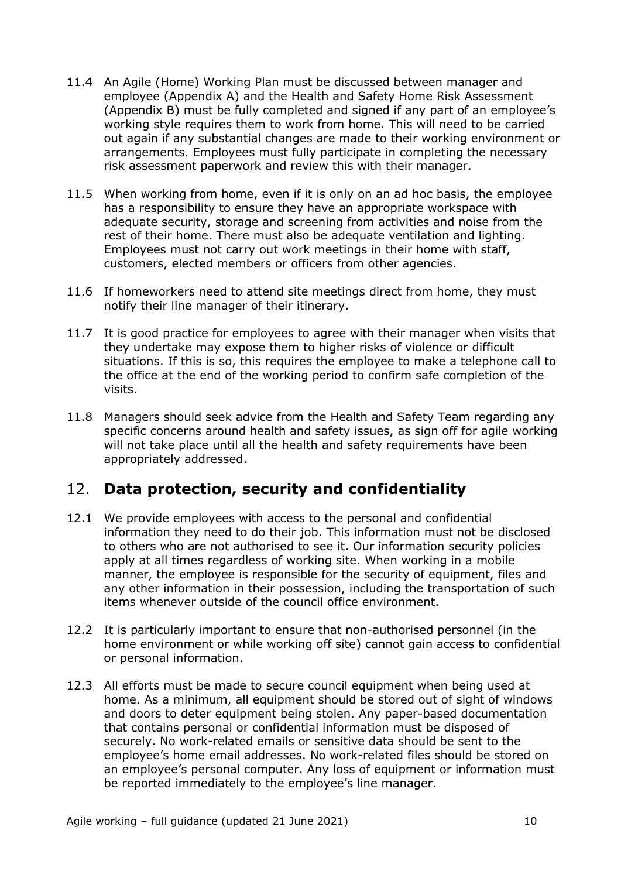- 11.4 An Agile (Home) Working Plan must be discussed between manager and employee (Appendix A) and the Health and Safety Home Risk Assessment (Appendix B) must be fully completed and signed if any part of an employee's working style requires them to work from home. This will need to be carried out again if any substantial changes are made to their working environment or arrangements. Employees must fully participate in completing the necessary risk assessment paperwork and review this with their manager.
- 11.5 When working from home, even if it is only on an ad hoc basis, the employee has a responsibility to ensure they have an appropriate workspace with adequate security, storage and screening from activities and noise from the rest of their home. There must also be adequate ventilation and lighting. Employees must not carry out work meetings in their home with staff, customers, elected members or officers from other agencies.
- 11.6 If homeworkers need to attend site meetings direct from home, they must notify their line manager of their itinerary.
- 11.7 It is good practice for employees to agree with their manager when visits that they undertake may expose them to higher risks of violence or difficult situations. If this is so, this requires the employee to make a telephone call to the office at the end of the working period to confirm safe completion of the visits.
- 11.8 Managers should seek advice from the Health and Safety Team regarding any specific concerns around health and safety issues, as sign off for agile working will not take place until all the health and safety requirements have been appropriately addressed.

## <span id="page-9-0"></span>12. **Data protection, security and confidentiality**

- 12.1 We provide employees with access to the personal and confidential information they need to do their job. This information must not be disclosed to others who are not authorised to see it. Our information security policies apply at all times regardless of working site. When working in a mobile manner, the employee is responsible for the security of equipment, files and any other information in their possession, including the transportation of such items whenever outside of the council office environment.
- 12.2 It is particularly important to ensure that non-authorised personnel (in the home environment or while working off site) cannot gain access to confidential or personal information.
- 12.3 All efforts must be made to secure council equipment when being used at home. As a minimum, all equipment should be stored out of sight of windows and doors to deter equipment being stolen. Any paper-based documentation that contains personal or confidential information must be disposed of securely. No work-related emails or sensitive data should be sent to the employee's home email addresses. No work-related files should be stored on an employee's personal computer. Any loss of equipment or information must be reported immediately to the employee's line manager.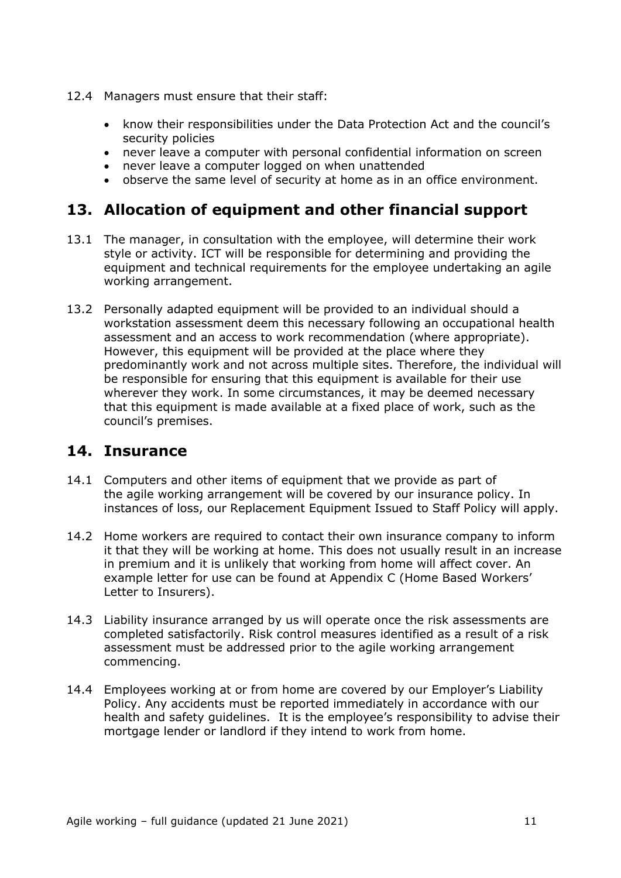- 12.4 Managers must ensure that their staff:
	- know their responsibilities under the Data Protection Act and the council's security policies
	- never leave a computer with personal confidential information on screen
	- never leave a computer logged on when unattended
	- observe the same level of security at home as in an office environment.

## <span id="page-10-0"></span>**13. Allocation of equipment and other financial support**

- 13.1 The manager, in consultation with the employee, will determine their work style or activity. ICT will be responsible for determining and providing the equipment and technical requirements for the employee undertaking an agile working arrangement.
- 13.2 Personally adapted equipment will be provided to an individual should a workstation assessment deem this necessary following an occupational health assessment and an access to work recommendation (where appropriate). However, this equipment will be provided at the place where they predominantly work and not across multiple sites. Therefore, the individual will be responsible for ensuring that this equipment is available for their use wherever they work. In some circumstances, it may be deemed necessary that this equipment is made available at a fixed place of work, such as the council's premises.

## <span id="page-10-1"></span>**14. Insurance**

- 14.1 Computers and other items of equipment that we provide as part of the agile working arrangement will be covered by our insurance policy. In instances of loss, our Replacement Equipment Issued to Staff Policy will apply.
- 14.2 Home workers are required to contact their own insurance company to inform it that they will be working at home. This does not usually result in an increase in premium and it is unlikely that working from home will affect cover. An example letter for use can be found at Appendix C (Home Based Workers' Letter to Insurers).
- 14.3 Liability insurance arranged by us will operate once the risk assessments are completed satisfactorily. Risk control measures identified as a result of a risk assessment must be addressed prior to the agile working arrangement commencing.
- 14.4 Employees working at or from home are covered by our Employer's Liability Policy. Any accidents must be reported immediately in accordance with our health and safety guidelines. It is the employee's responsibility to advise their mortgage lender or landlord if they intend to work from home.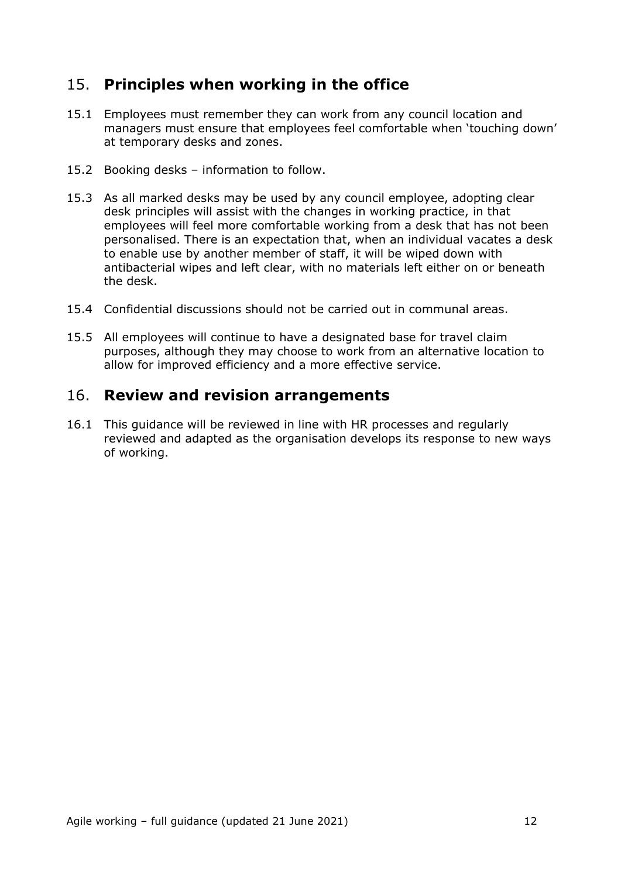# <span id="page-11-0"></span>15. **Principles when working in the office**

- 15.1 Employees must remember they can work from any council location and managers must ensure that employees feel comfortable when 'touching down' at temporary desks and zones.
- 15.2 Booking desks information to follow.
- 15.3 As all marked desks may be used by any council employee, adopting clear desk principles will assist with the changes in working practice, in that employees will feel more comfortable working from a desk that has not been personalised. There is an expectation that, when an individual vacates a desk to enable use by another member of staff, it will be wiped down with antibacterial wipes and left clear, with no materials left either on or beneath the desk.
- 15.4 Confidential discussions should not be carried out in communal areas.
- 15.5 All employees will continue to have a designated base for travel claim purposes, although they may choose to work from an alternative location to allow for improved efficiency and a more effective service.

## <span id="page-11-1"></span>16. **Review and revision arrangements**

16.1 This guidance will be reviewed in line with HR processes and regularly reviewed and adapted as the organisation develops its response to new ways of working.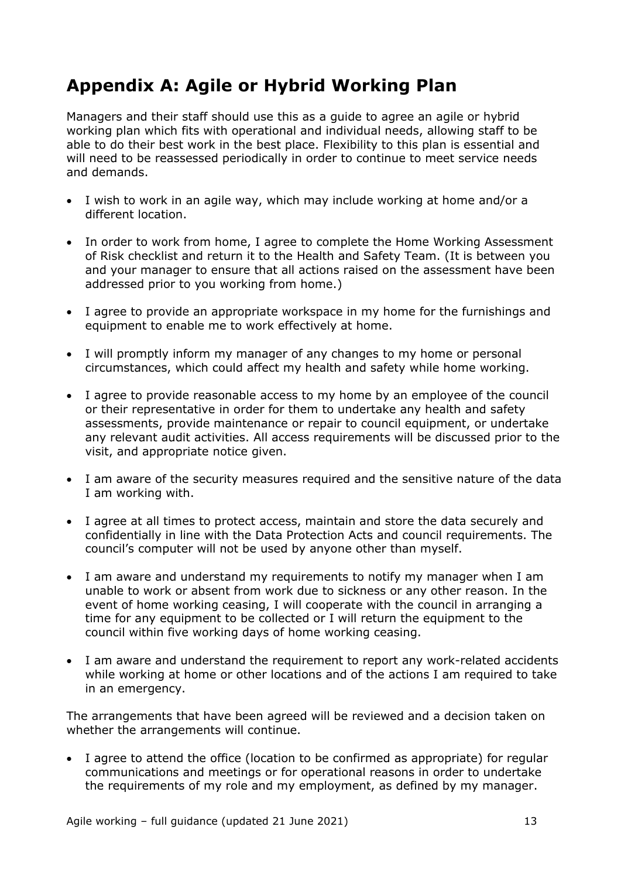# <span id="page-12-0"></span>**Appendix A: Agile or Hybrid Working Plan**

Managers and their staff should use this as a guide to agree an agile or hybrid working plan which fits with operational and individual needs, allowing staff to be able to do their best work in the best place. Flexibility to this plan is essential and will need to be reassessed periodically in order to continue to meet service needs and demands.

- I wish to work in an agile way, which may include working at home and/or a different location.
- In order to work from home, I agree to complete the Home Working Assessment of Risk checklist and return it to the Health and Safety Team. (It is between you and your manager to ensure that all actions raised on the assessment have been addressed prior to you working from home.)
- I agree to provide an appropriate workspace in my home for the furnishings and equipment to enable me to work effectively at home.
- I will promptly inform my manager of any changes to my home or personal circumstances, which could affect my health and safety while home working.
- I agree to provide reasonable access to my home by an employee of the council or their representative in order for them to undertake any health and safety assessments, provide maintenance or repair to council equipment, or undertake any relevant audit activities. All access requirements will be discussed prior to the visit, and appropriate notice given.
- I am aware of the security measures required and the sensitive nature of the data I am working with.
- I agree at all times to protect access, maintain and store the data securely and confidentially in line with the Data Protection Acts and council requirements. The council's computer will not be used by anyone other than myself.
- I am aware and understand my requirements to notify my manager when I am unable to work or absent from work due to sickness or any other reason. In the event of home working ceasing, I will cooperate with the council in arranging a time for any equipment to be collected or I will return the equipment to the council within five working days of home working ceasing.
- I am aware and understand the requirement to report any work-related accidents while working at home or other locations and of the actions I am required to take in an emergency.

The arrangements that have been agreed will be reviewed and a decision taken on whether the arrangements will continue.

• I agree to attend the office (location to be confirmed as appropriate) for regular communications and meetings or for operational reasons in order to undertake the requirements of my role and my employment, as defined by my manager.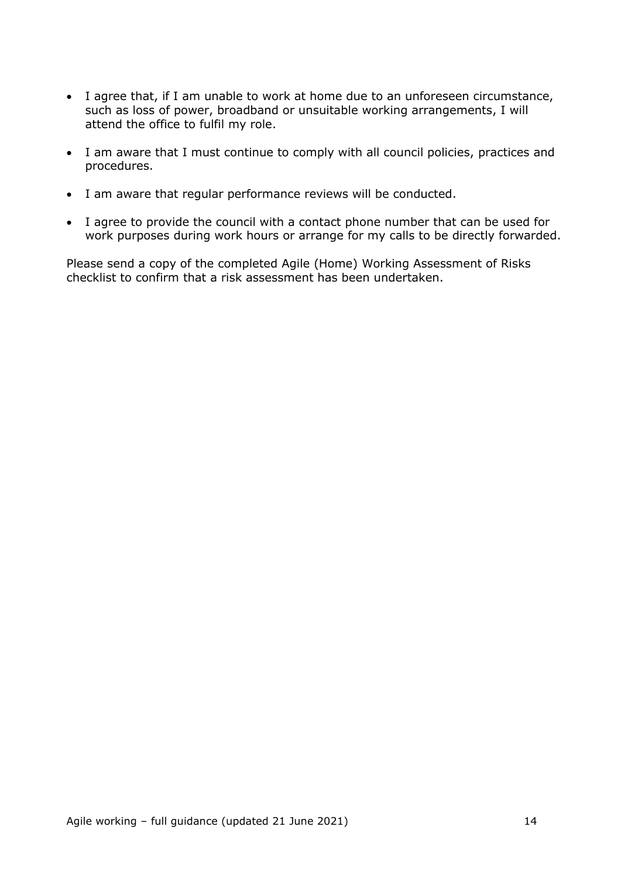- I agree that, if I am unable to work at home due to an unforeseen circumstance, such as loss of power, broadband or unsuitable working arrangements, I will attend the office to fulfil my role.
- I am aware that I must continue to comply with all council policies, practices and procedures.
- I am aware that regular performance reviews will be conducted.
- I agree to provide the council with a contact phone number that can be used for work purposes during work hours or arrange for my calls to be directly forwarded.

Please send a copy of the completed Agile (Home) Working Assessment of Risks checklist to confirm that a risk assessment has been undertaken.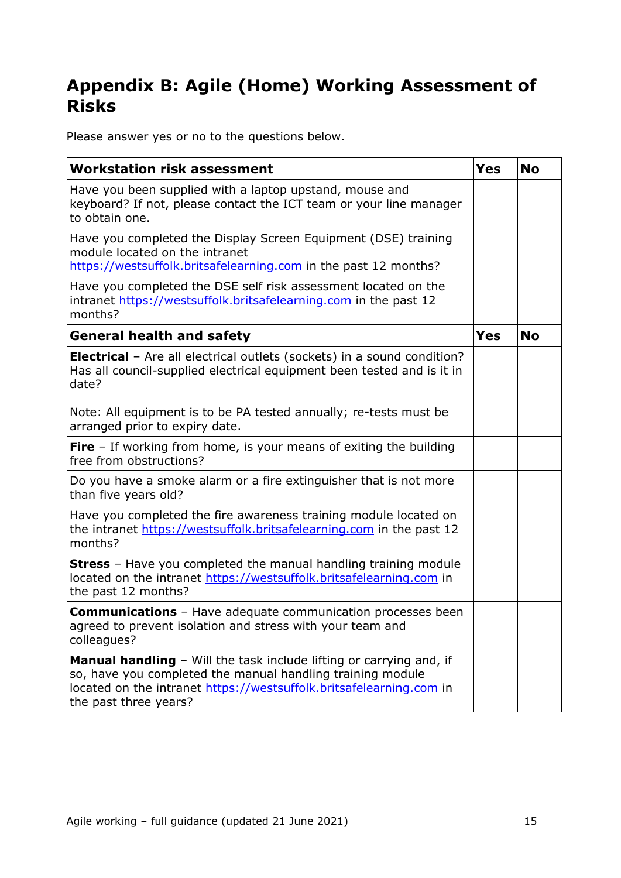# <span id="page-14-0"></span>**Appendix B: Agile (Home) Working Assessment of Risks**

Please answer yes or no to the questions below.

| <b>Workstation risk assessment</b>                                                                                                                                                                                                | <b>Yes</b> | <b>No</b> |
|-----------------------------------------------------------------------------------------------------------------------------------------------------------------------------------------------------------------------------------|------------|-----------|
| Have you been supplied with a laptop upstand, mouse and<br>keyboard? If not, please contact the ICT team or your line manager<br>to obtain one.                                                                                   |            |           |
| Have you completed the Display Screen Equipment (DSE) training<br>module located on the intranet<br>https://westsuffolk.britsafelearning.com in the past 12 months?                                                               |            |           |
| Have you completed the DSE self risk assessment located on the<br>intranet https://westsuffolk.britsafelearning.com in the past 12<br>months?                                                                                     |            |           |
| <b>General health and safety</b>                                                                                                                                                                                                  | <b>Yes</b> | <b>No</b> |
| <b>Electrical</b> - Are all electrical outlets (sockets) in a sound condition?<br>Has all council-supplied electrical equipment been tested and is it in<br>date?                                                                 |            |           |
| Note: All equipment is to be PA tested annually; re-tests must be<br>arranged prior to expiry date.                                                                                                                               |            |           |
| <b>Fire</b> $-$ If working from home, is your means of exiting the building<br>free from obstructions?                                                                                                                            |            |           |
| Do you have a smoke alarm or a fire extinguisher that is not more<br>than five years old?                                                                                                                                         |            |           |
| Have you completed the fire awareness training module located on<br>the intranet https://westsuffolk.britsafelearning.com in the past 12<br>months?                                                                               |            |           |
| <b>Stress</b> - Have you completed the manual handling training module<br>located on the intranet https://westsuffolk.britsafelearning.com in<br>the past 12 months?                                                              |            |           |
| <b>Communications</b> - Have adequate communication processes been<br>agreed to prevent isolation and stress with your team and<br>colleagues?                                                                                    |            |           |
| Manual handling - Will the task include lifting or carrying and, if<br>so, have you completed the manual handling training module<br>located on the intranet https://westsuffolk.britsafelearning.com in<br>the past three years? |            |           |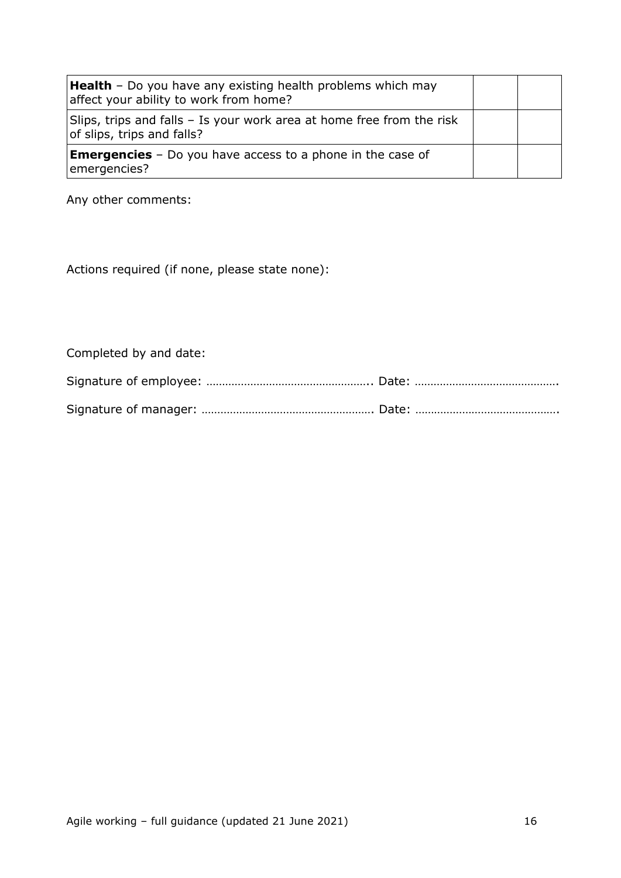| <b>Health</b> - Do you have any existing health problems which may<br>affect your ability to work from home? |  |
|--------------------------------------------------------------------------------------------------------------|--|
| Slips, trips and falls – Is your work area at home free from the risk<br>of slips, trips and falls?          |  |
| <b>Emergencies</b> - Do you have access to a phone in the case of<br>emergencies?                            |  |

Any other comments:

Actions required (if none, please state none):

Completed by and date: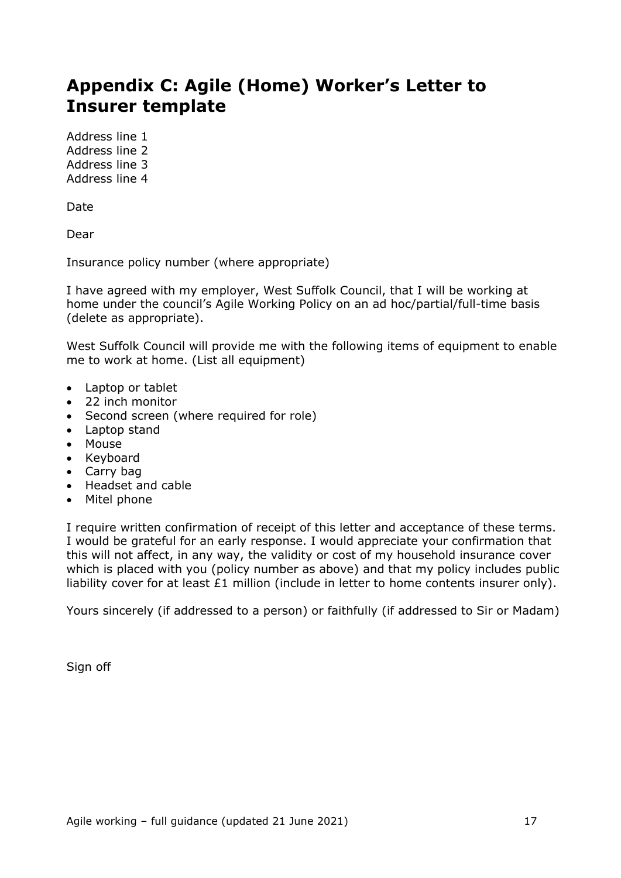# <span id="page-16-0"></span>**Appendix C: Agile (Home) Worker's Letter to Insurer template**

Address line 1 Address line 2 Address line 3 Address line 4

Date

Dear

Insurance policy number (where appropriate)

I have agreed with my employer, West Suffolk Council, that I will be working at home under the council's Agile Working Policy on an ad hoc/partial/full-time basis (delete as appropriate).

West Suffolk Council will provide me with the following items of equipment to enable me to work at home. (List all equipment)

- Laptop or tablet
- 22 inch monitor
- Second screen (where required for role)
- Laptop stand
- Mouse
- Keyboard
- Carry bag
- Headset and cable
- Mitel phone

I require written confirmation of receipt of this letter and acceptance of these terms. I would be grateful for an early response. I would appreciate your confirmation that this will not affect, in any way, the validity or cost of my household insurance cover which is placed with you (policy number as above) and that my policy includes public liability cover for at least £1 million (include in letter to home contents insurer only).

Yours sincerely (if addressed to a person) or faithfully (if addressed to Sir or Madam)

Sign off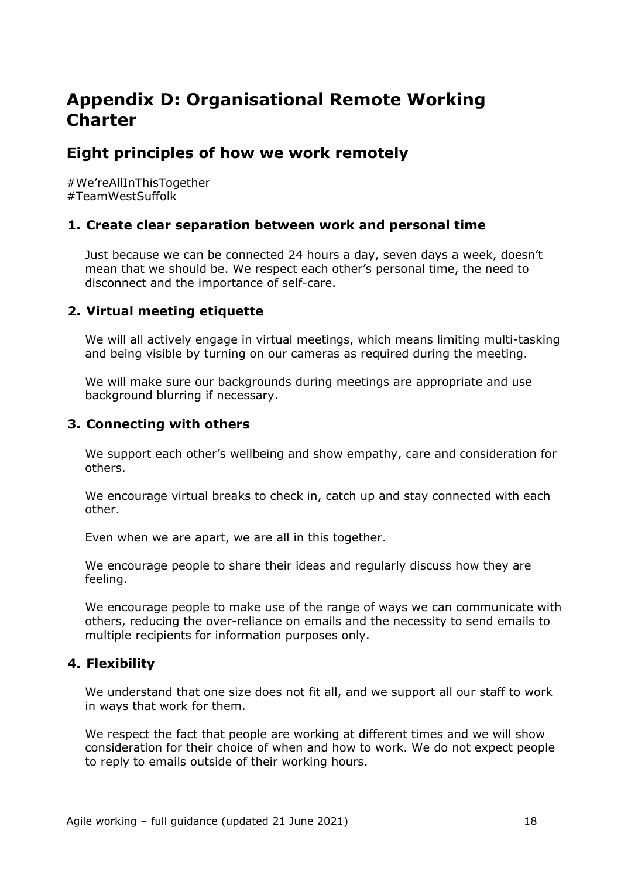# <span id="page-17-0"></span>**Appendix D: Organisational Remote Working Charter**

# <span id="page-17-1"></span>**Eight principles of how we work remotely**

#We'reAllInThisTogether #TeamWestSuffolk

#### **1. Create clear separation between work and personal time**

Just because we can be connected 24 hours a day, seven days a week, doesn't mean that we should be. We respect each other's personal time, the need to disconnect and the importance of self-care.

### **2. Virtual meeting etiquette**

We will all actively engage in virtual meetings, which means limiting multi-tasking and being visible by turning on our cameras as required during the meeting.

We will make sure our backgrounds during meetings are appropriate and use background blurring if necessary.

### **3. Connecting with others**

We support each other's wellbeing and show empathy, care and consideration for others.

We encourage virtual breaks to check in, catch up and stay connected with each other.

Even when we are apart, we are all in this together.

We encourage people to share their ideas and regularly discuss how they are feeling.

We encourage people to make use of the range of ways we can communicate with others, reducing the over-reliance on emails and the necessity to send emails to multiple recipients for information purposes only.

### **4. Flexibility**

We understand that one size does not fit all, and we support all our staff to work in ways that work for them.

We respect the fact that people are working at different times and we will show consideration for their choice of when and how to work. We do not expect people to reply to emails outside of their working hours.